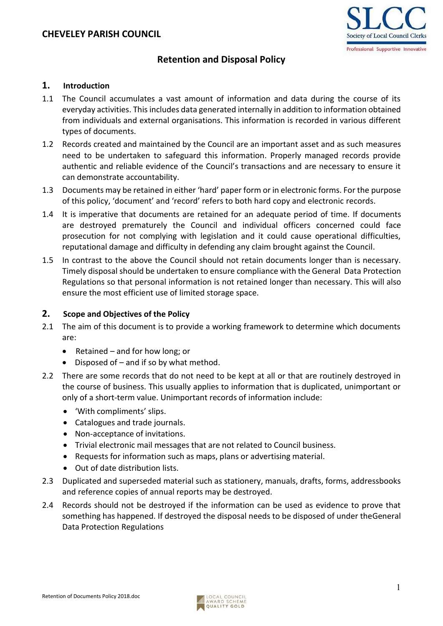

# **Retention and Disposal Policy**

#### **1. Introduction**

- 1.1 The Council accumulates a vast amount of information and data during the course of its everyday activities. This includes data generated internally in addition to information obtained from individuals and external organisations. This information is recorded in various different types of documents.
- 1.2 Records created and maintained by the Council are an important asset and as such measures need to be undertaken to safeguard this information. Properly managed records provide authentic and reliable evidence of the Council's transactions and are necessary to ensure it can demonstrate accountability.
- 1.3 Documents may be retained in either 'hard' paper form or in electronic forms. For the purpose of this policy, 'document' and 'record' refers to both hard copy and electronic records.
- 1.4 It is imperative that documents are retained for an adequate period of time. If documents are destroyed prematurely the Council and individual officers concerned could face prosecution for not complying with legislation and it could cause operational difficulties, reputational damage and difficulty in defending any claim brought against the Council.
- 1.5 In contrast to the above the Council should not retain documents longer than is necessary. Timely disposal should be undertaken to ensure compliance with the General Data Protection Regulations so that personal information is not retained longer than necessary. This will also ensure the most efficient use of limited storage space.

### **2. Scope and Objectives of the Policy**

- 2.1 The aim of this document is to provide a working framework to determine which documents are:
	- Retained and for how long; or
	- Disposed of and if so by what method.
- 2.2 There are some records that do not need to be kept at all or that are routinely destroyed in the course of business. This usually applies to information that is duplicated, unimportant or only of a short-term value. Unimportant records of information include:
	- 'With compliments' slips.
	- Catalogues and trade journals.
	- Non-acceptance of invitations.
	- Trivial electronic mail messages that are not related to Council business.
	- Requests for information such as maps, plans or advertising material.
	- Out of date distribution lists.
- 2.3 Duplicated and superseded material such as stationery, manuals, drafts, forms, addressbooks and reference copies of annual reports may be destroyed.
- 2.4 Records should not be destroyed if the information can be used as evidence to prove that something has happened. If destroyed the disposal needs to be disposed of under theGeneral Data Protection Regulations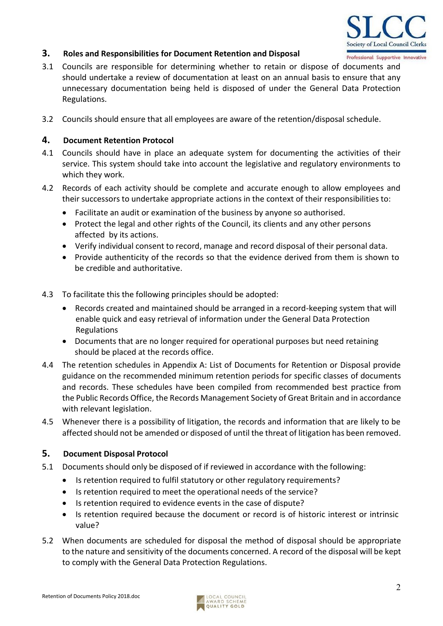

# **3. Roles and Responsibilities for Document Retention and Disposal**

- 3.1 Councils are responsible for determining whether to retain or dispose of documents and should undertake a review of documentation at least on an annual basis to ensure that any unnecessary documentation being held is disposed of under the General Data Protection Regulations.
- 3.2 Councils should ensure that all employees are aware of the retention/disposal schedule.

# **4. Document Retention Protocol**

- 4.1 Councils should have in place an adequate system for documenting the activities of their service. This system should take into account the legislative and regulatory environments to which they work.
- 4.2 Records of each activity should be complete and accurate enough to allow employees and their successors to undertake appropriate actions in the context of their responsibilities to:
	- Facilitate an audit or examination of the business by anyone so authorised.
	- Protect the legal and other rights of the Council, its clients and any other persons affected by its actions.
	- Verify individual consent to record, manage and record disposal of their personal data.
	- Provide authenticity of the records so that the evidence derived from them is shown to be credible and authoritative.
- 4.3 To facilitate this the following principles should be adopted:
	- Records created and maintained should be arranged in a record-keeping system that will enable quick and easy retrieval of information under the General Data Protection Regulations
	- Documents that are no longer required for operational purposes but need retaining should be placed at the records office.
- 4.4 The retention schedules in Appendix A: List of Documents for Retention or Disposal provide guidance on the recommended minimum retention periods for specific classes of documents and records. These schedules have been compiled from recommended best practice from the Public Records Office, the Records Management Society of Great Britain and in accordance with relevant legislation.
- 4.5 Whenever there is a possibility of litigation, the records and information that are likely to be affected should not be amended or disposed of until the threat of litigation has been removed.

# **5. Document Disposal Protocol**

- 5.1 Documents should only be disposed of if reviewed in accordance with the following:
	- Is retention required to fulfil statutory or other regulatory requirements?
	- Is retention required to meet the operational needs of the service?
	- Is retention required to evidence events in the case of dispute?
	- Is retention required because the document or record is of historic interest or intrinsic value?
- 5.2 When documents are scheduled for disposal the method of disposal should be appropriate to the nature and sensitivity of the documents concerned. A record of the disposal will be kept to comply with the General Data Protection Regulations.

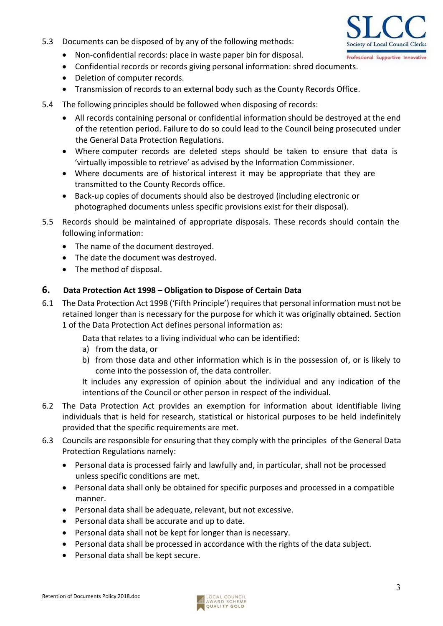5.3 Documents can be disposed of by any of the following methods:



- Non-confidential records: place in waste paper bin for disposal.
- Confidential records or records giving personal information: shred documents.
- Deletion of computer records.
- Transmission of records to an external body such as the County Records Office.
- 5.4 The following principles should be followed when disposing of records:
	- All records containing personal or confidential information should be destroyed at the end of the retention period. Failure to do so could lead to the Council being prosecuted under the General Data Protection Regulations.
	- Where computer records are deleted steps should be taken to ensure that data is 'virtually impossible to retrieve' as advised by the Information Commissioner.
	- Where documents are of historical interest it may be appropriate that they are transmitted to the County Records office.
	- Back-up copies of documents should also be destroyed (including electronic or photographed documents unless specific provisions exist for their disposal).
- 5.5 Records should be maintained of appropriate disposals. These records should contain the following information:
	- The name of the document destroyed.
	- The date the document was destroyed.
	- The method of disposal.

# **6. Data Protection Act 1998 – Obligation to Dispose of Certain Data**

6.1 The Data Protection Act 1998 ('Fifth Principle') requires that personal information must not be retained longer than is necessary for the purpose for which it was originally obtained. Section 1 of the Data Protection Act defines personal information as:

Data that relates to a living individual who can be identified:

- a) from the data, or
- b) from those data and other information which is in the possession of, or is likely to come into the possession of, the data controller.

It includes any expression of opinion about the individual and any indication of the intentions of the Council or other person in respect of the individual.

- 6.2 The Data Protection Act provides an exemption for information about identifiable living individuals that is held for research, statistical or historical purposes to be held indefinitely provided that the specific requirements are met.
- 6.3 Councils are responsible for ensuring that they comply with the principles of the General Data Protection Regulations namely:
	- Personal data is processed fairly and lawfully and, in particular, shall not be processed unless specific conditions are met.
	- Personal data shall only be obtained for specific purposes and processed in a compatible manner.
	- Personal data shall be adequate, relevant, but not excessive.
	- Personal data shall be accurate and up to date.
	- Personal data shall not be kept for longer than is necessary.
	- Personal data shall be processed in accordance with the rights of the data subject.
	- Personal data shall be kept secure.